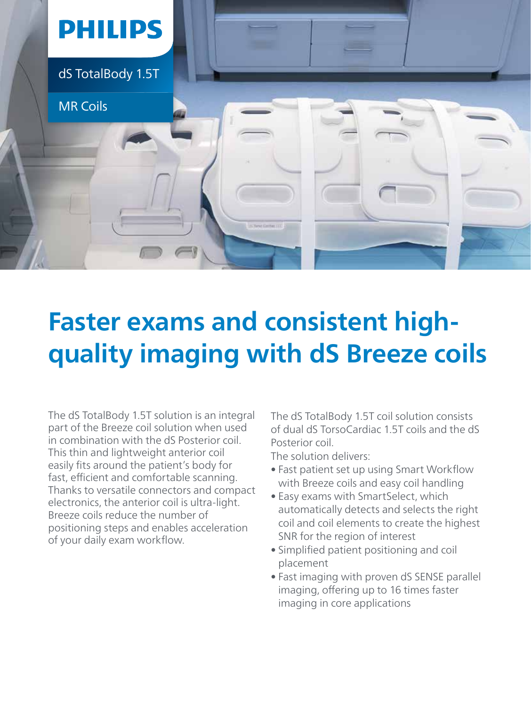

## **Faster exams and consistent highquality imaging with dS Breeze coils**

The dS TotalBody 1.5T solution is an integral part of the Breeze coil solution when used in combination with the dS Posterior coil. This thin and lightweight anterior coil easily fits around the patient's body for fast, efficient and comfortable scanning. Thanks to versatile connectors and compact electronics, the anterior coil is ultra-light. Breeze coils reduce the number of positioning steps and enables acceleration of your daily exam workflow.

The dS TotalBody 1.5T coil solution consists of dual dS TorsoCardiac 1.5T coils and the dS Posterior coil.

The solution delivers:

- Fast patient set up using Smart Workflow with Breeze coils and easy coil handling
- Easy exams with SmartSelect, which automatically detects and selects the right coil and coil elements to create the highest SNR for the region of interest
- Simplified patient positioning and coil placement
- Fast imaging with proven dS SENSE parallel imaging, offering up to 16 times faster imaging in core applications